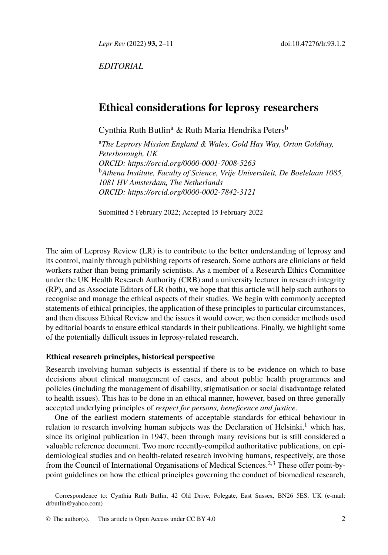*Lepr Rev* (2022) **93,** 2–[1](#page-0-0)1 d[oi](#page-0-1):10.47276/lr.93.1.2

<span id="page-0-0"></span>*EDITORIAL*

# <span id="page-0-1"></span>**Ethic[al considerations for leprosy](https://orcid.org/0000-0002-7842-3121) researchers**

Cynthia Ruth Butlin<sup>a</sup> & Ruth Maria Hendrika Peters<sup>b</sup>

<sup>a</sup>*The Leprosy Mission England & Wales, Gold Hay Way, Orton Goldhay, Peterborough, UK ORCID: https://orcid.org/0000-0001-7008-5263* <sup>b</sup>*Athena Institute, Faculty of Science, Vrije Universiteit, De Boelelaan 1085, 1081 HV Amsterdam, The Netherlands ORCID: https://orcid.org/0000-0002-7842-3121*

Submitted 5 February 2022; Accepted 15 February 2022

The aim of Leprosy Review (LR) is to contribute to the better understanding of leprosy and its control, mainly through publishing reports of research. Some authors are clinicians or field workers rather than being primarily scientists. As a member of a Research Ethics Committee under the UK Health Research Authority (CRB) and a university lecturer in research integrity (RP), and as Associate Editors of LR (both), we hope that this article will help such authors to recognise and manage the ethical aspects of their studies. We begin with commonly accepted statements of ethical principles, the application of these principles to particular circumstances, and then discuss Ethical Review and the issues it would cover; we then consider methods used by editorial boards to ensure ethical standards in their publications. Finally, we highlight some of the potentially difficult issues in leprosy-related research.

## **Ethical research principles, historical perspective**

Research involving human subjects is essential if there is to be evidence on which to base decisions about clinical management of cases, and about public [h](#page-8-0)[ea](#page-8-1)lth programmes and policies (including the management of disability, stigmatisation or social disadvantage related to health issues). This has to be done in an ethical manner, however, based on three generally accepted underlying principles of *respect for persons, beneficence and justice*.

[One of the ea](mailto:drbutlin@yahoo.com)rliest modern statements of acceptable standards for ethical behaviour in relation to research involving human subjects was the Declaration of Helsinki, $<sup>1</sup>$  which has,</sup> since its original publication in 1947, bee[n through](http://creativecommons.org/licenses/by/4.0/) many revisions but is still considered a valuable reference document. Two more recently-compiled authoritative publications, on epidemiological studies and on health-related research involving humans, respectively, are those from the Council of International Organisations of Medical Sciences.<sup>2,3</sup> These offer point-bypoint guidelines on how the ethical principles governing the conduct of biomedical research,

Correspondence to: Cynthia Ruth Butlin, 42 Old Drive, Polegate, East Sussex, BN26 5ES, UK (e-mail: drbutlin@yahoo.com)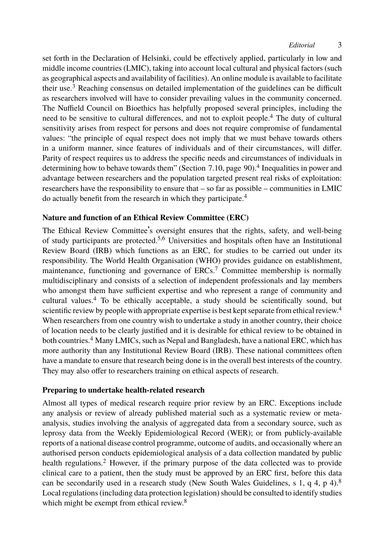set forth in the Declaration of Helsinki, could be effectively applied, particularly in low and middle income countries (LMIC), taking into account local cultural and physical factors (such as geographical aspects and availability of facilities). An online mo[du](#page-8-2)le is available to facilitate their use.<sup>3</sup> Reaching consensus on detailed implementation of the guidelines can be difficult as researchers involved will have to consider prevailing values in the community concerned. The Nuffield Council on Bioethics has helpfully proposed se[v](#page-8-2)eral principles, including the need to be sensitive to cultural differences, and not to exploit people.<sup>4</sup> The duty of cultural sensitivity arises from respect for persons and does not require compromise of fundamental values: "the principle of equal respect does not imply that we must behave towards others in a uniform manner, since featur[es](#page-8-3) [o](#page-8-4)f individuals and of their circumstances, will differ. Parity of respect requires us to address the specific needs and circumstances of individuals in determining how to behave towards them" (Section 7.10, page 90).<sup>4</sup> Inequalities in power and advantage between researchers and the population ta[rg](#page-8-5)eted present real risks of exploitation: researchers have the responsibility to ensure that – so far as possible – communities in LMIC do actually benefit from the research in which they participate.<sup>4</sup>

## **Nature and fu[nc](#page-8-2)tion of an Ethical Review Committee (ERC)**

The Ethical Review Committee's oversight ensures that the rights, safety, and well-being of study participants are protected.5,6 Universities and hospitals often have an Institutional Review Board [\(](#page-8-2)IRB) which functions as an ERC, for studies to be carried out under its responsibility. The World Health Organisation (WHO) provides guidance on establishment, maintenance, functioning and governance of ERCs.<sup>7</sup> Committee membership is normally multidisciplinary and consists of a selection of independent professionals and lay members who amongst them have sufficient expertise and who represent a range of community and cultural values.<sup>4</sup> To be ethically acceptable, a study should be scientifically sound, but scientific review by people with appropriate expertise is best kept separate from ethical review.<sup>4</sup> When researchers from one country wish to undertake a study in another country, their choice of location needs to be clearly justified and it is desirable for ethical review to be obtained in both countries.<sup>4</sup> Many LMICs, such as Nepal and Bangladesh, have a national ERC, which has more authority than any Institutional Review Board (IRB). These national committees often have a mandate to ensure that research being done is in the overall best interests of the country. They may also off[er](#page-8-0) to researchers training on ethical aspects of research.

## **Preparing to undertake health-related research**

Almost all types of medical research require prior review by an ERC. Exceptions include any analysis or review of already publishe[d](#page-8-6) material such as a systematic review or metaanalysis, studies involving the analysis of aggregated data from a secondary source, such as leprosy data from the Weekly Epidemiological Record (WER); or from publicly-available reports of a national disease control programme, outcome of audits, and occasionally where an authorised person conducts epidemiological analysis of a data collection mandated by public health regulations.<sup>2</sup> However, if the primary purpose of the data collected was to provide clinical care to a patient, then the study must be approved by an ERC first, before this data can be secondarily used in a research study (New South Wales Guidelines, s 1, q 4, p 4).<sup>8</sup> Local regulations (including data protection legislation) should be consulted to identify studies which might be exempt from ethical review.<sup>8</sup>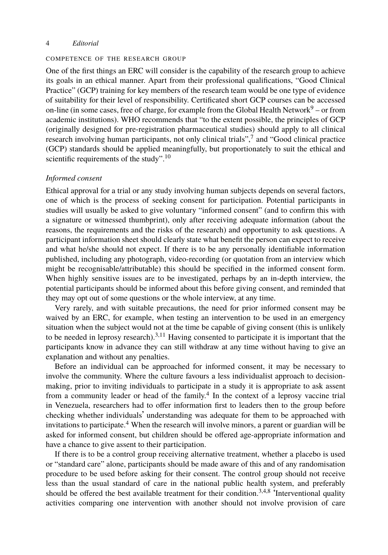### COMPETENCE OF THE RESEARCH GROUP

One of the first things an ERC will c[on](#page-8-7)sider is the capability of the research group to achieve its goals in an ethical manner. Apart from their professional qualifications, "Good Clinical Practice" (GCP) training for key members of the research team would be one type of evidence of suitability for their level of responsibility. Certificated short GCP courses can be accessed on-line (in some cases, free of charge, for example from the Global Health Network $9 -$  or from academic institutions). WHO recommends that "to the extent possible, the principles of GCP (originally designed for pre-registration pharmaceutical studies) should apply to all clinical research involving human participants, not only clinical trials",<sup>7</sup> and "Good clinical practice (GCP) standards should be applied meaningfully, but proportionately to suit the ethical and scientific requirements of the study".<sup>10</sup>

#### *Informed consent*

Ethical approval for a trial or any study involving human subjects depends on several factors, one of which is the process of seeking consent for participation. Potential participants in studies will usually be asked to give voluntary "informed consent" (and to confirm this with a signature or witnessed thumbprint), only after receiving adequate information (about the reasons, the requirements and the risks of the research) and opportunity to ask questions. A participant information sheet should clearly state what benefit the person can expect to receive and what he/she should not expe[ct](#page-8-1)[. I](#page-9-0)f there is to be any personally identifiable information published, including any photograph, video-recording (or quotation from an interview which might be recognisable/attributable) this should be specified in the informed consent form. When highly sensitive issues are to be investigated, perhaps by an in-depth interview, the potential participants should be informed about this before giving consent, and reminded that they may opt out of some questions or the whole interview, at any time.

Very rarely, and with suitable precautions, th[e](#page-8-2) need for prior informed consent may be waived by an ERC, for example, when testing an intervention to be used in an emergency situation when the subject would not at the time be capable of giving consent (this is unlikely to be needed in leprosy [re](#page-8-2)search).<sup>3,11</sup> Having consented to participate it is important that the participants know in advance they can still withdraw at any time without having to give an explanation and without any penalties.

Before an individual can be approached for informed consent, it may be necessary to involve the community. Where the culture favours a less individualist approach to decisionmaking, prior to inviting individuals to participate in a study it is appropriate to ask assent from a community leader or head of the family.<sup>4</sup> In the context of a leprosy vaccine trial in Venezuela, researchers had to offer information first to leade[rs](#page-8-1) [t](#page-8-2)[h](#page-8-6)en to the group before checking whether individuals' understanding was adequate for them to be approached with invitations to participate.<sup>4</sup> When the research will involve minors, a parent or guardian will be asked for informed consent, but children should be offered age-appropriate information and have a chance to give assent to their participation.

If there is to be a control group receiving alternative treatment, whether a placebo is used or "standard care" alone, participants should be made aware of this and of any randomisation procedure to be used before asking for their consent. The control group should not receive less than the usual standard of care in the national public health system, and preferably should be offered the best available treatment for their condition.<sup>3,4,8</sup> 'Interventional quality activities comparing one intervention with another should not involve provision of care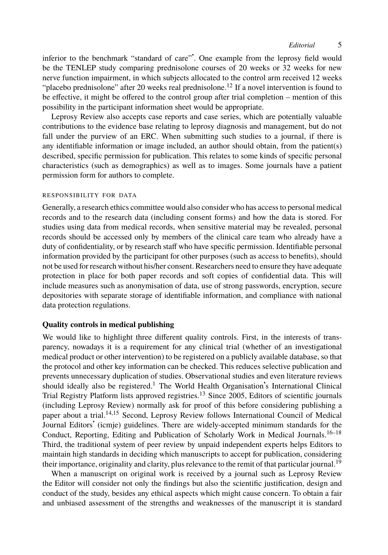inferior to the benchmark "standard of care"'. One example from the leprosy field would be the TENLEP study comparing prednisolone courses of 20 weeks or 32 weeks for new nerve function impairment, in which subjects allocated to the control arm received 12 weeks "placebo prednisolone" after 20 weeks real prednisolone.<sup>12</sup> If a novel intervention is found to be effective, it might be offered to the control group after trial completion – mention of this possibility in the participant information sheet would be appropriate.

Leprosy Review also accepts case reports and case series, which are potentially valuable contributions to the evidence base relating to leprosy diagnosis and management, but do not fall under the purview of an ERC. When submitting such studies to a journal, if there is any identifiable information or image included, an author should obtain, from the patient(s) described, specific permission for publication. This relates to some kinds of specific personal characteristics (such as demographics) as well as to images. Some journals have a patient permission form for authors to complete.

### RESPONSIBILITY FOR DATA

Generally, a research ethics committee would also consider who has access to personal medical records and to the research data (including consent forms) and how the data is stored. For studies using data from medical records, when sensitive material may be revealed, personal records should be accessed only by members of the clinical care team who already have a duty of confidentiality, or by research staff who have specific permission. Identifiable personal information provided by the participant for other purposes (such as access to benefits), should not be used for research without his/her consent. Researchers need to ensure they have adequate protection in place for both paper records and soft copies of confidential data. This will include measures such as anonymisation of data, use of strong passwords, encryption, secure depositories with separate storag[e o](#page-8-8)f identifiable information, and compliance with national data protection regulations.

## **Quality controls i[n m](#page-9-1)[e](#page-9-2)dical publishing**

We would like to highlight three different quality controls. First, in the interests of transparency, nowadays it is a requirement for any clinical trial (whether of an investigat[io](#page-9-3)[nal](#page-9-4) medical product or other intervention) to be registered on a publicly available database, so that the protocol and other key information can be checked. This reduces selective publication and prevents unnecessary duplication of studies. Observational studies and even literature revie[ws](#page-9-5) should ideally also be registered.<sup>1</sup> The World Health Organisation's International Clinical Trial Registry Platform lists approved registries.<sup>13</sup> Since 2005, Editors of scientific journals (including Leprosy Review) normally ask for proof of this before considering publishing a paper about a trial.14,15 Second, Leprosy Review follows International Council of Medical Journal Editors' (icmje) guidelines. There are widely-accepted minimum standards for the Conduct, Reporting, Editing and Publication of Scholarly Work in Medical Journals.<sup>16-18</sup> Third, the traditional system of peer review by unpaid independent experts helps Editors to maintain high standards in deciding which manuscripts to accept for publication, considering their importance, originality and clarity, plus relevance to the remit of that particular journal.<sup>19</sup>

When a manuscript on original work is received by a journal such as Leprosy Review the Editor will consider not only the findings but also the scientific justification, design and conduct of the study, besides any ethical aspects which might cause concern. To obtain a fair and unbiased assessment of the strengths and weaknesses of the manuscript it is standard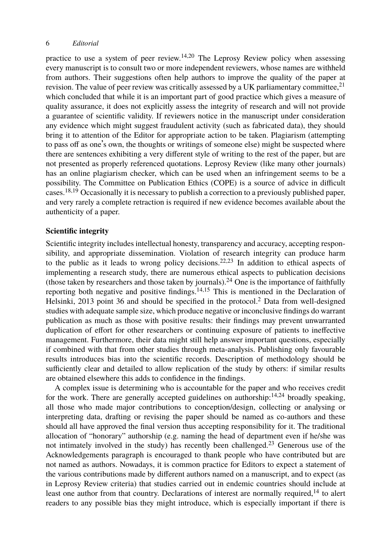practice to use a system of peer review.<sup>14,20</sup> The Leprosy Review policy when assessing every manuscript is to consult two or more independent reviewers, whose names are withheld from authors. Their suggestions often help authors to improve the quality of the paper at revision. The value of peer review was critically assessed by a UK parliamentary committee, $^{21}$ which concluded that while it is an important part of good practice which gives a measure of qualit[y](#page-9-4) [ass](#page-9-5)urance, it does not explicitly assess the integrity of research and will not provide a guarantee of scientific validity. If reviewers notice in the manuscript under consideration any evidence which might suggest fraudulent activity (such as fabricated data), they should bring it to attention of the Editor for appropriate action to be taken. Plagiarism (attempting to pass off as one's own, the thoughts or writings of someone else) might be suspected where there are sentences exhibiting a very different style of writing to the rest of the paper, but are not presented as properly referenced quotations. Leprosy Review (like many other journals) has an online plagiarism checker, which can be use[d](#page-9-6) [wh](#page-9-7)en an infringement seems to be a possibility. The Committee on Publication Ethics (COPE) is a source of advice in difficult cases.<sup>18,19</sup> Occasionally it is necessary to publish a corre[cti](#page-9-8)on to a previously published paper, and very rarely a complete retraction is require[d](#page-9-1) [if n](#page-9-2)ew evidence becomes available about the authenticity of a paper.

### **Scientific integrity**

Scientific integrity includes intellectual honesty, transparency and accuracy, accepting responsibility, and appropriate dissemination. Violation of research integrity can produce harm to the public as it leads to wrong policy decisions.<sup>22,23</sup> In addition to ethical aspects of implementing a research study, there are numerous ethical aspects to publication decisions (those taken by researchers and those taken by journals).<sup>24</sup> One is the importance of faithfully reporting both negative and positive findings.<sup>14,15</sup> This is mentioned in the Declaration of Helsinki, 2013 point 36 and should be specified in the protocol.<sup>2</sup> Data from well-designed studies with adequate sample size, which produce negative or inconclu[siv](#page-9-1)[e fi](#page-9-8)ndings do warrant publication as much as those with positive results: their findings may prevent unwarranted duplication of effort for other researchers or continuing exposure of patients to ineffective management. Furthermore, their data might still help answer important questions, especially if combined with that from other studies through meta-analysis. Publishing only favourable results introduces bias into the scientific records. Description of [me](#page-9-7)thodology should be sufficiently clear and detailed to allow replication of the study by others: if similar results are obtained elsewhere this adds to confidence in the findings.

A complex issue is determining who is accountable for the paper and who receives credit for the work. There are generally accepted guidelines on authorship: $14,24$  broadly speaking, all those who made major contributions to conception/design, collecting or an[aly](#page-9-1)sing or interpreting data, drafting or revising the paper should be named as co-authors and these should all have approved the final version thus accepting responsibility for it. The traditional allocation of "honorary" authorship (e.g. naming the head of department even if he/she was not intimately involved in the study) has recently been challenged.<sup>23</sup> Generous use of the Acknowledgements paragraph is encouraged to thank people who have contributed but are not named as authors. Nowadays, it is common practice for Editors to expect a statement of the various contributions made by different authors named on a manuscript, and to expect (as in Leprosy Review criteria) that studies carried out in endemic countries should include at least one author from that country. Declarations of interest are normally required,<sup>14</sup> to alert readers to any possible bias they might introduce, which is especially important if there is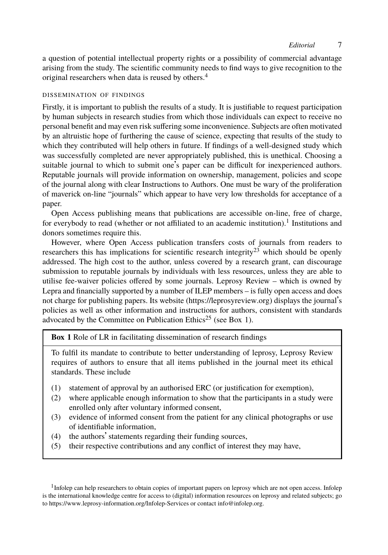a question of potential intellectual property rights or a possibility of commercial advantage arising from the study. The scientific community needs to find ways to give recognition to the original researchers when data is reused by others.<sup>4</sup>

### DISSEMINATION OF FINDINGS

Firstly, it is important to publish the results of a study. It is justifiable to request participation by human subjects in research studies from which those individuals can expect to receive no personal benefit and may even risk suffering some inconvenience. Subjects are often motivated by an altruistic hope of furthering the cause of science, expecting that resu[lt](#page-5-0)s of the study to which they contributed will help others in future. If findings of a well-designed study which was successfully completed are never appropriately published, this is unethical. Choosing a suitable journal to which to submit one's paper can be difficult [fo](#page-9-7)r inexperienced authors. Reputable journals will provide information on ownership, management, policies and scope of the journal along with clear Instructions to Authors. One must be wary of the proliferation of maverick on-line "journals" which appear to have very low thresholds for acceptance of a paper.

Open Access publishing means that publ[ications are accessible on](https://leprosyreview.org)-line, free of charge, for everybody to read (whether or not affiliated to [an](#page-9-9) academic institution).<sup>1</sup> Institutions and donors sometimes require this.

However, where Open Access publication transfers costs of journals from readers to researchers this has implications for scientific research integrity<sup>23</sup> which should be openly addressed. The high cost to the author, unless covered by a research grant, can discourage submission to reputable journals by individuals with less resources, unless they are able to utilise fee-waiver policies offered by some journals. Leprosy Review – which is owned by Lepra and financially supported by a number of ILEP members – is fully open access and does not charge for publishing papers. Its website (https://leprosyreview.org) displays the journal's policies as well as other information and instructions for authors, consistent with standards advocated by the Committee on Publication Ethics<sup>25</sup> (see Box 1).

# **Box 1** Role of LR in facilitating dissemination of research findings

To fulfil its mandate to contribute to better understanding of leprosy, Leprosy Review requires of authors to ensure that all items published in the journal meet its ethical standards. These include

- (1) statement of approval by an authorised ERC (or justification for exemption),
- <span id="page-5-0"></span>(2) where applicable enough information to show that the participants in a study were enrolled only after voluntary informed consent,
- [\(3\)](https://www.leprosy-information.org/Infolep-Services) [evidence of informed consent from th](https://www.leprosy-information.org/Infolep-Services)e patien[t for any clinic](mailto:info@infolep.org)al photographs or use of identifiable information,
- (4) the authors' statements regarding their funding sources,
- (5) their respective contributions and any conflict of interest they may have,

<sup>1</sup> Infolep can help researchers to obtain copies of important papers on leprosy which are not open access. Infolep is the international knowledge centre for access to (digital) information resources on leprosy and related subjects; go to https://www.leprosy-information.org/Infolep-Services or contact info@infolep.org.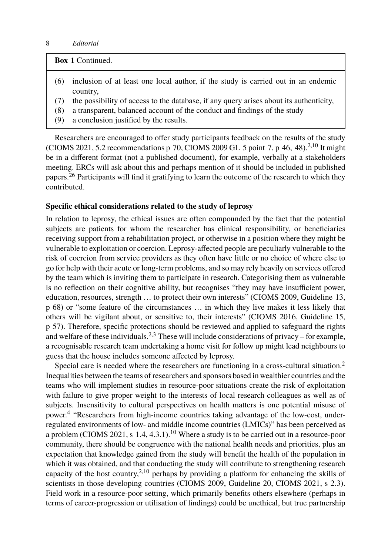| <b>Box 1 Continued.</b>                                                                                                                                                                                                    |  |
|----------------------------------------------------------------------------------------------------------------------------------------------------------------------------------------------------------------------------|--|
| inclusion of at least one local author, if the study is carried out in an endemic<br>(6)<br>country.                                                                                                                       |  |
| the possibility of access to the database, if any query arises about its authenticity,<br>a transparent, balanced account of the conduct and findings of the study<br>(8)<br>a conclusion justified by the results.<br>(9) |  |
|                                                                                                                                                                                                                            |  |

Researchers are encouraged to offer study participants feedback on the results of the study (CIOMS 2021, 5.2 recommendations p 70, CIOMS 2009 GL 5 point 7, p 46, 48).<sup>2,10</sup> It might be in a different format (not a published document), for example, verbally at a stakeholders meeting. ERCs will ask about this and perhaps mention of it should be included in published papers.<sup>26</sup> Participants will find it gratifying to learn the outcome of the research to which they contributed.

### **Specific ethical considerations related to the study of leprosy**

In relation to leprosy, the ethical issues are often compounded by the fact that the potential subjects are patients for whom the researcher has clinical responsibility, or beneficiaries receiving support from a rehabilitation project, or otherwise in a position where they might be vulnerable to exploitation or coe[r](#page-8-0)[ci](#page-8-1)on. Leprosy-affected people are peculiarly vulnerable to the risk of coercion from service providers as they often have little or no choice of where else to go for help with their acute or long-term problems, and so may rely heavily on services offered by the team which is inviting them to participate in research. Categorising them as vulnerab[le](#page-8-0) is no reflection on their cognitive ability, but recognises "they may have insufficient power, education, resources, strength … to protect their own interests" (CIOMS 2009, Guideline 13, p 68) or "some feature of the circumstances … in which they live makes it less likely that others will be vigilant about, or sensitive to, their interests" (CIOMS 2016, Guideline 15, p 57). [T](#page-8-2)herefore, specific protections should be reviewed and applied to safeguard the rights and welfare of these individuals.<sup>2,3</sup> These will include considerations of privacy – for example, a recognisable research team undertak[ing](#page-8-7) a home visit for follow up might lead neighbours to guess that the house includes someone affected by leprosy.

Special care is needed where the researchers are functioning in a cross-cultural situation.<sup>2</sup> Inequalities between the teams of researchers and sponsors based in wealthier countries and the teams who will implement [st](#page-8-0)[udi](#page-8-7)es in resource-poor situations create the risk of exploitation with failure to give proper weight to the interests of local research colleagues as well as of subjects. Insensitivity to cultural perspectives on health matters is one potential misuse of power.<sup>4</sup> "Researchers from high-income countries taking advantage of the low-cost, underregulated environments of low- and middle income countries (LMICs)" has been perceived as a problem (CIOMS 2021, s 1.4, 4.3.1).<sup>10</sup> Where a study is to be carried out in a resource-poor community, there should be congruence with the national health needs and priorities, plus an expectation that knowledge gained from the study will benefit the health of the population in which it was obtained, and that conducting the study will contribute to strengthening research capacity of the host country,<sup>2,10</sup> perhaps by providing a platform for enhancing the skills of scientists in those developing countries (CIOMS 2009, Guideline 20, CIOMS 2021, s 2.3). Field work in a resource-poor setting, which primarily benefits others elsewhere (perhaps in terms of career-progression or utilisation of findings) could be unethical, but true partnership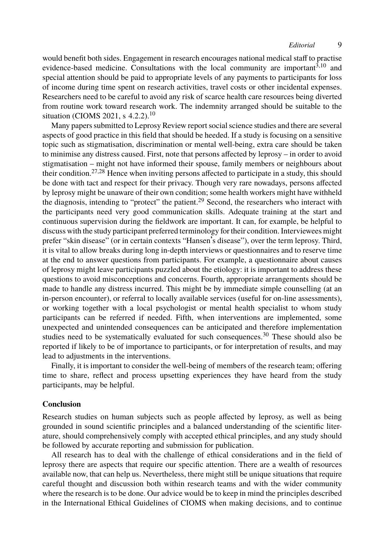would benefit both sides. Engagement in research encourages national medical staff to practise evidence-based medicine. Consultations with the local community are important<sup>3,10</sup> and special attention should be paid to appropriate levels of any payments to participants for loss of income duri[ng](#page-9-11) [ti](#page-9-12)me spent on research activities, travel costs or other incidental expenses. Researchers need to be careful to avoid any risk of scarce health care resources being diverted from routine work toward research work. The i[nd](#page-9-13)emnity arranged should be suitable to the situation (CIOMS 2021, s 4.2.2).<sup>10</sup>

Many papers submitted to Leprosy Review report social science studies and there are several aspects of good practice in this field that should be heeded. If a study is focusing on a sensitive topic such as stigmatisation, discrimination or mental well-being, extra care should be taken to minimise any distress caused. First, note that persons affected by leprosy – in order to avoid stigmatisation – might not have informed their spouse, family members or neighbours about their condition.<sup>27,28</sup> Hence when inviting persons affected to participate in a study, this should be done with tact and respect for their privacy. Though very rare nowadays, persons affected by leprosy might be unaware of their own condition; some health workers might have withheld the diagnosis, intending to "protect" the patient.<sup>29</sup> Second, the researchers who interact with the participants need very good communication skills. Adequate training at the start and continuous supervision during the fieldwork are important. It can, for example, be helpful to discuss with the study participant preferred terminology for their condition. Interviewees might prefer "skin disease" (or in certain contexts "Hansen's disease"), over the term leprosy. Third, it is vital to allow breaks during long in-depth interviews or question[nai](#page-9-14)res and to reserve time at the end to answer questions from participants. For example, a questionnaire about causes of leprosy might leave participants puzzled about the etiology: it is important to address these questions to avoid misconceptions and concerns. Fourth, appropriate arrangements should be made to handle any distress incurred. This might be by immediate simple counselling (at an in-person encounter), or referral to locally available services (useful for on-line assessments), or working together with a local psychologist or mental health specialist to whom study participants can be referred if needed. Fifth, when interventions are implemented, some unexpected and unintended consequences can be anticipated and therefore implementation studies need to be systematically evaluated for such consequences. $30$  These should also be reported if likely to be of importance to participants, or for interpretation of results, and may lead to adjustments in the interventions.

Finally, it is important to consider the well-being of members of the research team; offering time to share, reflect and process upsetting experiences they have heard from the study participants, may be helpful.

### **Conclusion**

Research studies on human subjects such as people affected by leprosy, as well as being grounded in sound scientific principles and a balanced understanding of the scientific literature, should comprehensively comply with accepted ethical principles, and any study should be followed by accurate reporting and submission for publication.

All research has to deal with the challenge of ethical considerations and in the field of leprosy there are aspects that require our specific attention. There are a wealth of resources available now, that can help us. Nevertheless, there might still be unique situations that require careful thought and discussion both within research teams and with the wider community where the research is to be done. Our advice would be to keep in mind the principles described in the International Ethical Guidelines of CIOMS when making decisions, and to continue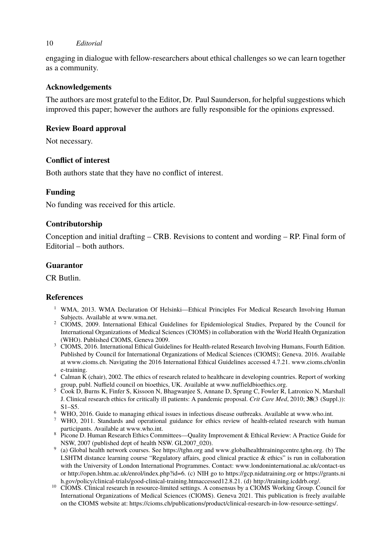engaging in dialogue with fellow-researchers about ethical challenges so we can learn together as a community.

### **Acknowledgements**

The authors are most grateful to the Editor, Dr. Paul Saunderson, for helpful suggestions which improved this paper; however the authors are fully responsible for the opinions expressed.

### **Review Board approval**

Not necessary.

## **Conflict of interest**

Both authors state that they have no conflict of interest.

## **Funding**

No funding was received for this article.

### <span id="page-8-8"></span>**Contributorship**

<span id="page-8-0"></span>Conception and initial [drafting – C](http://www.wma.net)RB. Revisions to content and wording – RP. Final form of Editorial – both authors.

## <span id="page-8-1"></span>**Guarantor**

CR [B](http://www.cioms.ch/online)[utlin.](http://www.cioms.ch)

## <span id="page-8-3"></span><span id="page-8-2"></span>**References**

- <sup>1</sup> WMA, 2013. WMA Declaration Of Helsinki—Ethical Principles For Medical Research Involving Human Subjects. Available at www.wma.net.
- <span id="page-8-5"></span><span id="page-8-4"></span><sup>2</sup> CIOMS, 2009. International Ethical Guidelines for Epidemiological Studies, Prepared [by the Counci](http://www.who.int)l for International Organizations of Medical Sciences (CIOMS) in collaboration with the World Health Organization (WHO). Published CIO[MS, Geneva 200](http://www.who.int)9.
- <span id="page-8-6"></span><sup>3</sup> CIOMS, 2016. International Ethical Guidelines for Health-related Research Involving Humans, Fourth Edition. Published by Council for International Organizations of Medical Sciences (CIOMS); Geneva. 2016. Available at www.cioms.ch. Navigating the 2016 [International Et](https://tghn.org)hica[l Guidelines accessed 4.7.21.](http://www.globalhealthtrainingcentre.tghn.org) [www.cioms](http://www.globalhealthtrainingcentre.tghn.org).ch/onlin e-training.
- <sup>4</sup> Calman K (chair), 2002. The ethics of research related to healthcare [in developing countries. Report of working](http://www.londoninternational.ac.uk/contact-us)
- gr[oup, publ. Nuffield council on bioethics, UK. A](http://open.lshtm.ac.uk/enrol/index.php?id=6)vailable at ww[w.nuffieldbioethics.org.](https://gcp.nidatraining.org) <sup>5</sup> [Cook D, Burns K, Finfer S, Kissoon N, Bhagwanjee S, Annane D, Spr](https://grants.nih.gov/policy/clinical-trials/good-clinical-training.htm%20accessed%2012.8.21)ung [C, Fowler R,](http://training.icddrb.org/) [L](https://gcp.nidatraining.org)[atronico N](http://training.icddrb.org/)[, Marshall](https://grants.nih.gov/policy/clinical-trials/good-clinical-training.htm%20accessed%2012.8.21) J. Clinical research ethics for critically ill patients: A pandemic proposal. *Crit Care Med*, 2010; **38**(3 (Suppl.)):
- <span id="page-8-7"></span>S1–S5.
- <sup>6</sup> WHO, 2016. Guide to ma[naging ethical issues in infectious disease outbreaks. Available a](https://cioms.ch/publications/product/clinical-research-in-low-resource-settings/)t [www.who.int.](https://cioms.ch/publications/product/clinical-research-in-low-resource-settings/)
- <sup>7</sup> WHO, 2011. Standards and operational guidance for ethics review of health-related r[ese](https://cioms.ch/publications/product/clinical-research-in-low-resource-settings/)arch with h[um](https://cioms.ch/publications/product/clinical-research-in-low-resource-settings/)an participants. Available at www.who.int.
- 8 Picone D. Human Research Ethics Committees—Quality Improvement & Ethical Review: A Practice Guide for NSW, 2007 (published dept of health NSW. GL2007\_020).
- 9 (a) Global health network courses. See https://tghn.org and www.globalhealthtrainingcentre.tghn.org. (b) The LSHTM distance learning course "Regulatory affairs, good clinical practice & ethics" is run in collaboration with the University of London International Programmes. Contact: www.londoninternational.ac.uk/contact-us or http://open.lshtm.ac.uk/enrol/index.php?id=6. (c) NIH go to https://gcp.nidatraining.org or https://grants.ni
- h.gov/policy/clinical-trials/good-clinical-training.htmaccessed12.8.21. (d) http://training.icddrb.org/. <sup>10</sup> CIOMS. Clinical research in resource-limited settings. A consensus by a CIOMS Working Group. Council for International Organizations of Medical Sciences (CIOMS). Geneva 2021. This publication is freely available on the CIOMS website at: https://cioms.ch/publications/product/clinical-research-in-low-resource-settings/.